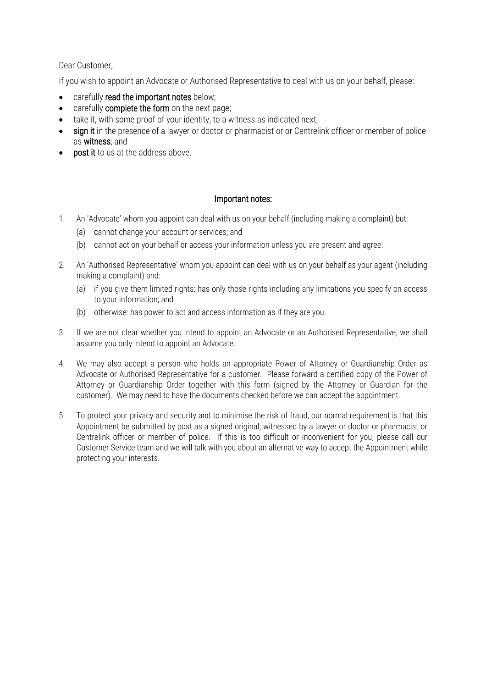## Dear Customer,

If you wish to appoint an Advocate or Authorised Representative to deal with us on your behalf, please:

- carefully read the important notes below;
- carefully **complete the form** on the next page;
- take it, with some proof of your identity, to a witness as indicated next;
- sign it in the presence of a lawyer or doctor or pharmacist or or Centrelink officer or member of police as witness; and
- post it to us at the address above.

## Important notes:

- 1. An 'Advocate' whom you appoint can deal with us on your behalf (including making a complaint) but:
	- (a) cannot change your account or services; and
	- (b) cannot act on your behalf or access your information unless you are present and agree.
- 2. An 'Authorised Representative' whom you appoint can deal with us on your behalf as your agent (including making a complaint) and:
	- (a) if you give them limited rights: has only those rights including any limitations you specify on access to your information; and
	- (b) otherwise: has power to act and access information as if they are you.
- 3. If we are not clear whether you intend to appoint an Advocate or an Authorised Representative, we shall assume you only intend to appoint an Advocate.
- 4. We may also accept a person who holds an appropriate Power of Attorney or Guardianship Order as Advocate or Authorised Representative for a customer. Please forward a certified copy of the Power of Attorney or Guardianship Order together with this form (signed by the Attorney or Guardian for the customer). We may need to have the documents checked before we can accept the appointment.
- 5. To protect your privacy and security and to minimise the risk of fraud, our normal requirement is that this Appointment be submitted by post as a signed original, witnessed by a lawyer or doctor or pharmacist or Centrelink officer or member of police. If this is too difficult or inconvenient for you, please call our Customer Service team and we will talk with you about an alternative way to accept the Appointment while protecting your interests.